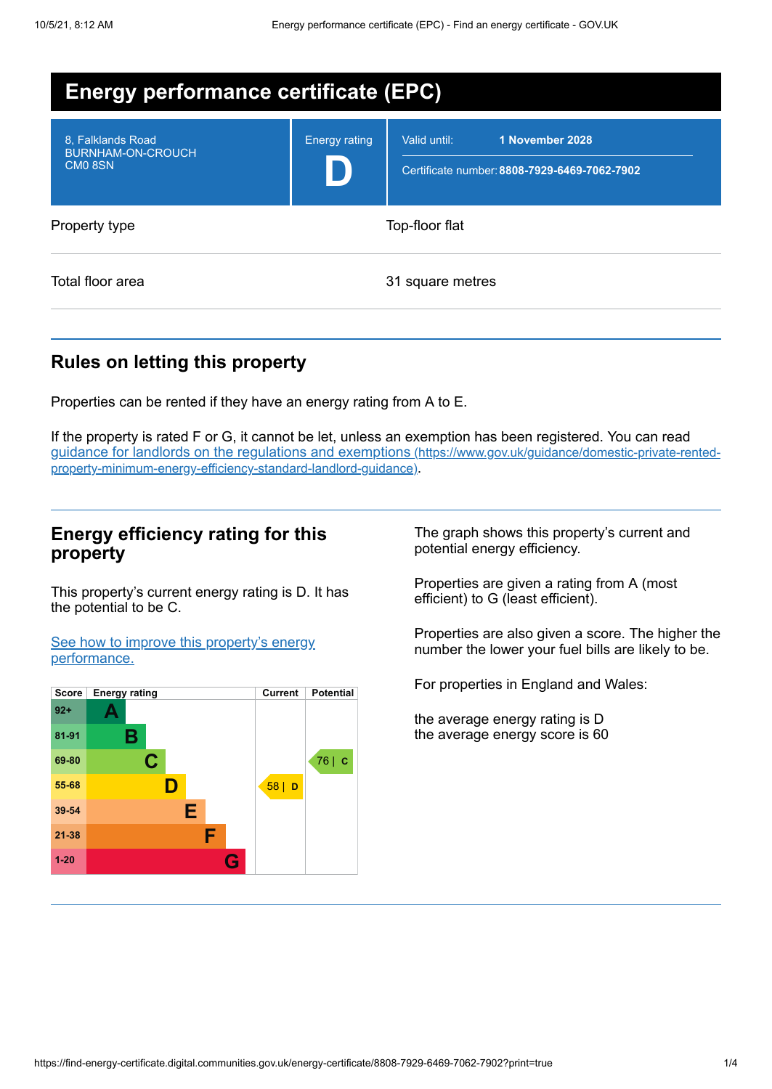| <b>Energy performance certificate (EPC)</b>                          |                      |                                                                                 |
|----------------------------------------------------------------------|----------------------|---------------------------------------------------------------------------------|
| 8. Falklands Road<br><b>BURNHAM-ON-CROUCH</b><br>CM <sub>0</sub> 8SN | <b>Energy rating</b> | 1 November 2028<br>Valid until:<br>Certificate number: 8808-7929-6469-7062-7902 |
| Property type                                                        |                      | Top-floor flat                                                                  |
| Total floor area                                                     |                      | 31 square metres                                                                |

## **Rules on letting this property**

Properties can be rented if they have an energy rating from A to E.

If the property is rated F or G, it cannot be let, unless an exemption has been registered. You can read guidance for landlords on the regulations and exemptions (https://www.gov.uk/guidance/domestic-private-rented[property-minimum-energy-efficiency-standard-landlord-guidance\)](https://www.gov.uk/guidance/domestic-private-rented-property-minimum-energy-efficiency-standard-landlord-guidance).

### **Energy efficiency rating for this property**

This property's current energy rating is D. It has the potential to be C.

See how to improve this property's energy [performance.](#page-2-0)



The graph shows this property's current and potential energy efficiency.

Properties are given a rating from A (most efficient) to G (least efficient).

Properties are also given a score. The higher the number the lower your fuel bills are likely to be.

For properties in England and Wales:

the average energy rating is D the average energy score is 60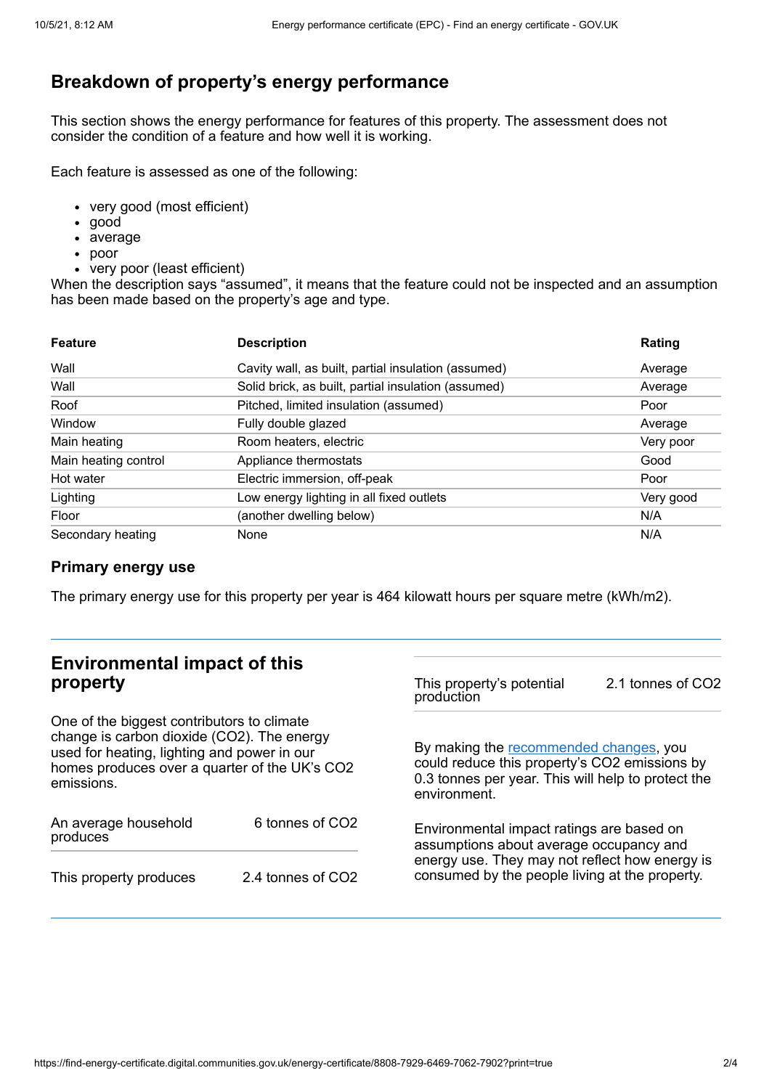# **Breakdown of property's energy performance**

This section shows the energy performance for features of this property. The assessment does not consider the condition of a feature and how well it is working.

Each feature is assessed as one of the following:

- very good (most efficient)
- good
- average
- poor
- very poor (least efficient)

When the description says "assumed", it means that the feature could not be inspected and an assumption has been made based on the property's age and type.

| <b>Feature</b>       | <b>Description</b>                                  | Rating    |
|----------------------|-----------------------------------------------------|-----------|
| Wall                 | Cavity wall, as built, partial insulation (assumed) | Average   |
| Wall                 | Solid brick, as built, partial insulation (assumed) | Average   |
| Roof                 | Pitched, limited insulation (assumed)               | Poor      |
| Window               | Fully double glazed                                 | Average   |
| Main heating         | Room heaters, electric                              | Very poor |
| Main heating control | Appliance thermostats                               | Good      |
| Hot water            | Electric immersion, off-peak                        | Poor      |
| Lighting             | Low energy lighting in all fixed outlets            | Very good |
| Floor                | (another dwelling below)                            | N/A       |
| Secondary heating    | None                                                | N/A       |

#### **Primary energy use**

The primary energy use for this property per year is 464 kilowatt hours per square metre (kWh/m2).

# **Environmental impact of this property**

One of the biggest contributors to climate change is carbon dioxide (CO2). The energy used for heating, lighting and power in our homes produces over a quarter of the UK's CO2 emissions.

| An average household<br>produces | 6 tonnes of CO <sub>2</sub> |  |
|----------------------------------|-----------------------------|--|
| This property produces           | 2.4 tonnes of CO2           |  |

This property's potential production 2.1 tonnes of CO2

By making the [recommended](#page-2-0) changes, you could reduce this property's CO2 emissions by 0.3 tonnes per year. This will help to protect the environment.

Environmental impact ratings are based on assumptions about average occupancy and energy use. They may not reflect how energy is consumed by the people living at the property.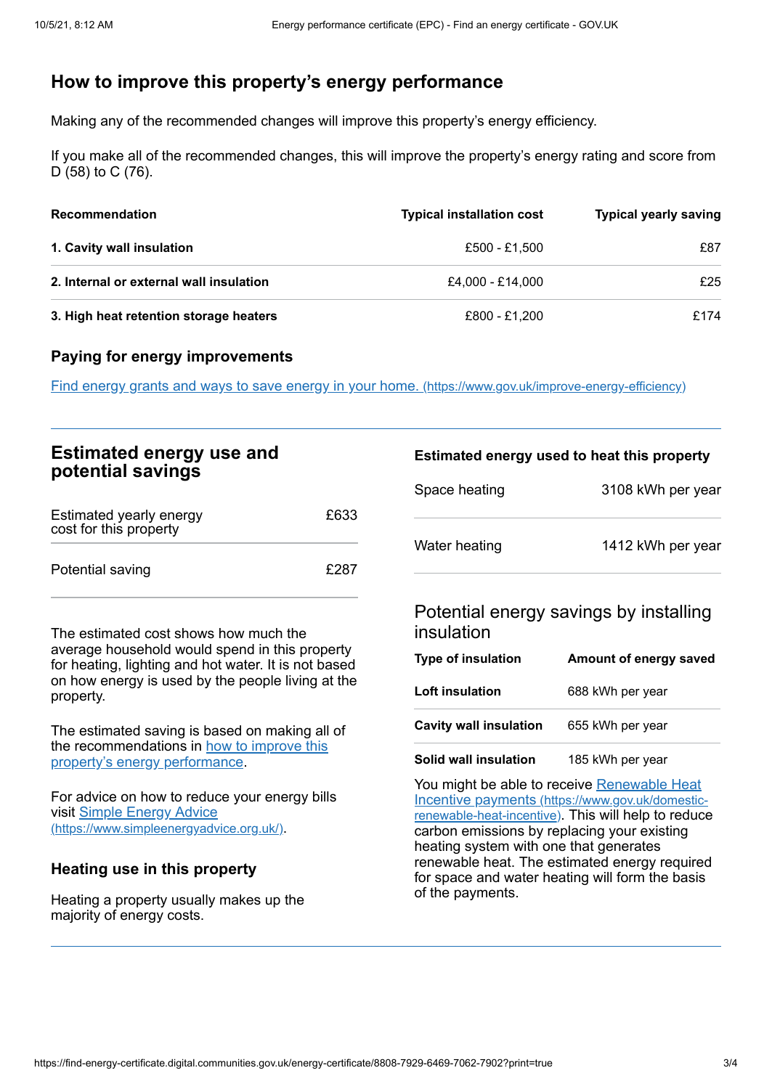## <span id="page-2-0"></span>**How to improve this property's energy performance**

Making any of the recommended changes will improve this property's energy efficiency.

If you make all of the recommended changes, this will improve the property's energy rating and score from D (58) to C (76).

| Recommendation                          | <b>Typical installation cost</b> | <b>Typical yearly saving</b> |
|-----------------------------------------|----------------------------------|------------------------------|
| 1. Cavity wall insulation               | £500 - £1,500                    | £87                          |
| 2. Internal or external wall insulation | £4.000 - £14.000                 | £25                          |
| 3. High heat retention storage heaters  | £800 - £1,200                    | £174                         |

#### **Paying for energy improvements**

Find energy grants and ways to save energy in your home. [\(https://www.gov.uk/improve-energy-efficiency\)](https://www.gov.uk/improve-energy-efficiency)

## **Estimated energy use and potential savings**

| Estimated yearly energy<br>cost for this property | £633 |
|---------------------------------------------------|------|
| Potential saving                                  | £287 |

The estimated cost shows how much the average household would spend in this property for heating, lighting and hot water. It is not based on how energy is used by the people living at the property.

The estimated saving is based on making all of the [recommendations](#page-2-0) in how to improve this property's energy performance.

For advice on how to reduce your energy bills visit Simple Energy Advice [\(https://www.simpleenergyadvice.org.uk/\)](https://www.simpleenergyadvice.org.uk/).

#### **Heating use in this property**

Heating a property usually makes up the majority of energy costs.

#### **Estimated energy used to heat this property**

| Space heating | 3108 kWh per year |
|---------------|-------------------|
| Water heating | 1412 kWh per year |

### Potential energy savings by installing insulation

| Type of insulation            | Amount of energy saved |
|-------------------------------|------------------------|
| Loft insulation               | 688 kWh per year       |
| <b>Cavity wall insulation</b> | 655 kWh per year       |
| Solid wall insulation         | 185 kWh per year       |

You might be able to receive Renewable Heat Incentive payments [\(https://www.gov.uk/domestic](https://www.gov.uk/domestic-renewable-heat-incentive)renewable-heat-incentive). This will help to reduce carbon emissions by replacing your existing heating system with one that generates renewable heat. The estimated energy required for space and water heating will form the basis of the payments.